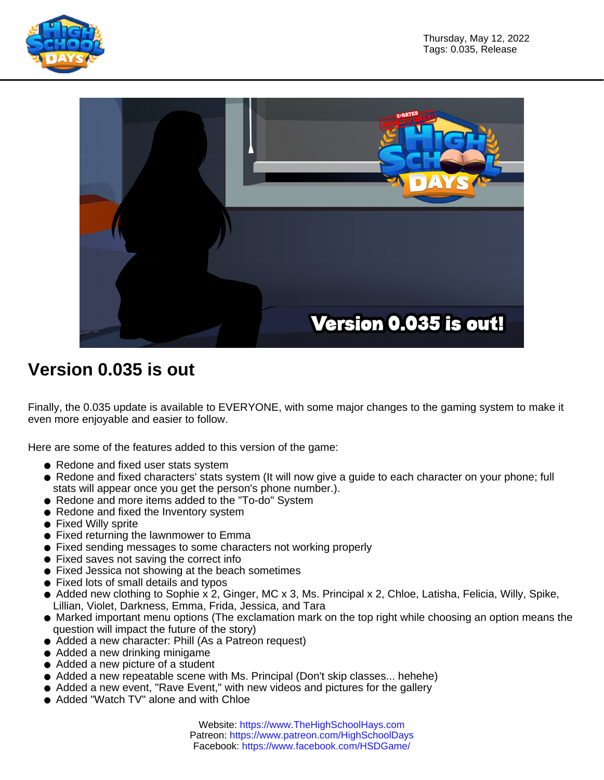



## **Version 0.035 is out**

Finally, the 0.035 update is available to EVERYONE, with some major changes to the gaming system to make it even more enjoyable and easier to follow.

Here are some of the features added to this version of the game:

- Redone and fixed user stats system
- Redone and fixed characters' stats system (It will now give a guide to each character on your phone; full stats will appear once you get the person's phone number.).
- Redone and more items added to the "To-do" System
- Redone and fixed the Inventory system
- Fixed Willy sprite
- Fixed returning the lawnmower to Emma
- Fixed sending messages to some characters not working properly
- Fixed saves not saving the correct info
- Fixed Jessica not showing at the beach sometimes
- Fixed lots of small details and typos
- Added new clothing to Sophie x 2, Ginger, MC x 3, Ms. Principal x 2, Chloe, Latisha, Felicia, Willy, Spike, Lillian, Violet, Darkness, Emma, Frida, Jessica, and Tara
- Marked important menu options (The exclamation mark on the top right while choosing an option means the question will impact the future of the story)
- Added a new character: Phill (As a Patreon request)
- Added a new drinking minigame
- Added a new picture of a student
- Added a new repeatable scene with Ms. Principal (Don't skip classes... hehehe)
- Added a new event, "Rave Event," with new videos and pictures for the gallery
- Added "Watch TV" alone and with Chloe